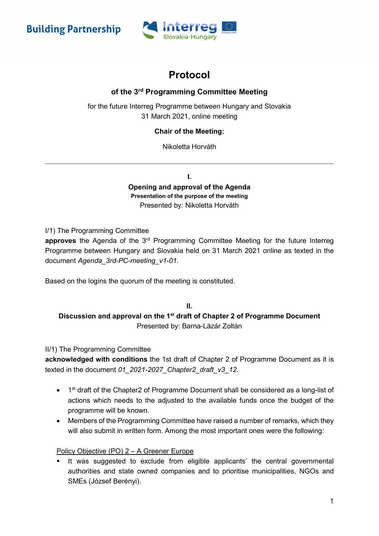**Building Partnership** 



# Protocol

# of the 3rd Programming Committee Meeting

for the future Interreg Programme between Hungary and Slovakia 31 March 2021, online meeting

## Chair of the Meeting:

Nikoletta Horváth

I.

Opening and approval of the Agenda Presentation of the purpose of the meeting Presented by: Nikoletta Horváth

I/1) The Programming Committee

approves the Agenda of the  $3<sup>rd</sup>$  Programming Committee Meeting for the future Interreg Programme between Hungary and Slovakia held on 31 March 2021 online as texted in the document Agenda\_3rd-PC-meeting\_v1-01.

Based on the logins the quorum of the meeting is constituted.

## II. Discussion and approval on the 1<sup>st</sup> draft of Chapter 2 of Programme Document Presented by: Barna-Lázár Zoltán

### II/1) The Programming Committee

acknowledged with conditions the 1st draft of Chapter 2 of Programme Document as it is texted in the document 01\_2021-2027\_Chapter2\_draft\_v3\_12.

- 1<sup>st</sup> draft of the Chapter2 of Programme Document shall be considered as a long-list of actions which needs to the adjusted to the available funds once the budget of the programme will be known.
- Members of the Programming Committee have raised a number of remarks, which they will also submit in written form. Among the most important ones were the following:

## Policy Objective (PO) 2 – A Greener Europe

 It was suggested to exclude from eligible applicants' the central governmental authorities and state owned companies and to prioritise municipalities, NGOs and SMEs (József Berényi).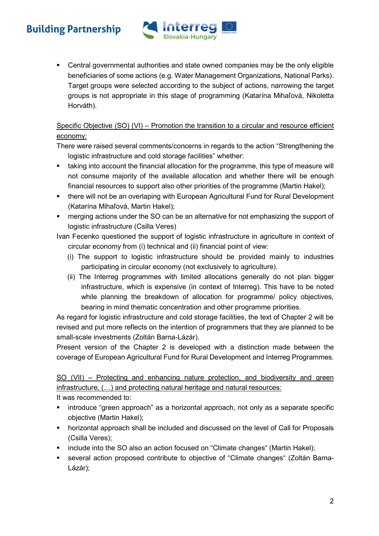# **Building Partnership**



 Central governmental authorities and state owned companies may be the only eligible beneficiaries of some actions (e.g. Water Management Organizations, National Parks). Target groups were selected according to the subject of actions, narrowing the target groups is not appropriate in this stage of programming (Katarína Mihaľová, Nikoletta Horváth).

## Specific Objective (SO) (VI) – Promotion the transition to a circular and resource efficient economy:

There were raised several comments/concerns in regards to the action "Strengthening the logistic infrastructure and cold storage facilities" whether:

- taking into account the financial allocation for the programme, this type of measure will not consume majority of the available allocation and whether there will be enough financial resources to support also other priorities of the programme (Martin Hakel);
- **there will not be an overlaping with European Agricultural Fund for Rural Development** (Katarína Mihaľová, Martin Hakel);
- merging actions under the SO can be an alternative for not emphasizing the support of logistic infrastructure (Csilla Veres)

Ivan Fecenko questioned the support of logistic infrastructure in agriculture in context of circular economy from (i) technical and (ii) financial point of view:

- (i) The support to logistic infrastructure should be provided mainly to industries participating in circular economy (not exclusively to agriculture).
- (ii) The Interreg programmes with limited allocations generally do not plan bigger infrastructure, which is expensive (in context of Interreg). This have to be noted while planning the breakdown of allocation for programme/ policy objectives, bearing in mind thematic concentration and other programme priorities.

As regard for logistic infrastructure and cold storage facilities, the text of Chapter 2 will be revised and put more reflects on the intention of programmers that they are planned to be small-scale investments (Zoltán Barna-Lázár).

Present version of the Chapter 2 is developed with a distinction made between the coverage of European Agricultural Fund for Rural Development and Interreg Programmes.

SO (VII) – Protecting and enhancing nature protection, and biodiversity and green infrastructure, (…) and protecting natural heritage and natural resources:

It was recommended to:

- introduce "green approach" as a horizontal approach, not only as a separate specific objective (Martin Hakel);
- horizontal approach shall be included and discussed on the level of Call for Proposals (Csilla Veres);
- include into the SO also an action focused on "Climate changes" (Martin Hakel);
- several action proposed contribute to objective of "Climate changes" (Zoltán Barna-Lázár);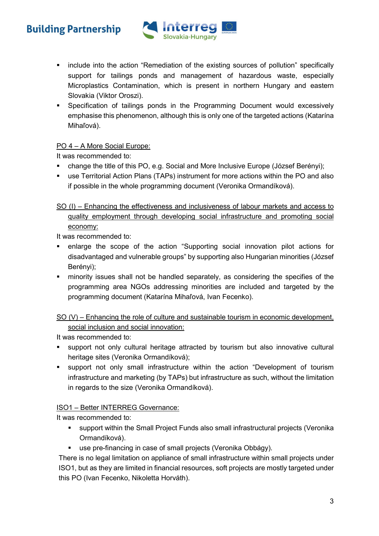# **Building Partnership**



- include into the action "Remediation of the existing sources of pollution" specifically support for tailings ponds and management of hazardous waste, especially Microplastics Contamination, which is present in northern Hungary and eastern Slovakia (Viktor Oroszi).
- Specification of tailings ponds in the Programming Document would excessively emphasise this phenomenon, although this is only one of the targeted actions (Katarína Mihaľová).

## PO 4 – A More Social Europe:

It was recommended to:

- change the title of this PO, e.g. Social and More Inclusive Europe (József Berényi);
- use Territorial Action Plans (TAPs) instrument for more actions within the PO and also if possible in the whole programming document (Veronika Ormandíková).

# SO (I) – Enhancing the effectiveness and inclusiveness of labour markets and access to quality employment through developing social infrastructure and promoting social economy:

It was recommended to:

- enlarge the scope of the action "Supporting social innovation pilot actions for disadvantaged and vulnerable groups" by supporting also Hungarian minorities (József Berényi);
- minority issues shall not be handled separately, as considering the specifies of the programming area NGOs addressing minorities are included and targeted by the programming document (Katarína Mihaľová, Ivan Fecenko).

SO (V) – Enhancing the role of culture and sustainable tourism in economic development, social inclusion and social innovation:

It was recommended to:

- support not only cultural heritage attracted by tourism but also innovative cultural heritage sites (Veronika Ormandíková);
- support not only small infrastructure within the action "Development of tourism infrastructure and marketing (by TAPs) but infrastructure as such, without the limitation in regards to the size (Veronika Ormandíková).

## ISO1 – Better INTERREG Governance:

It was recommended to:

- support within the Small Project Funds also small infrastructural projects (Veronika Ormandíková).
- use pre-financing in case of small projects (Veronika Obbágy).

There is no legal limitation on appliance of small infrastructure within small projects under ISO1, but as they are limited in financial resources, soft projects are mostly targeted under this PO (Ivan Fecenko, Nikoletta Horváth).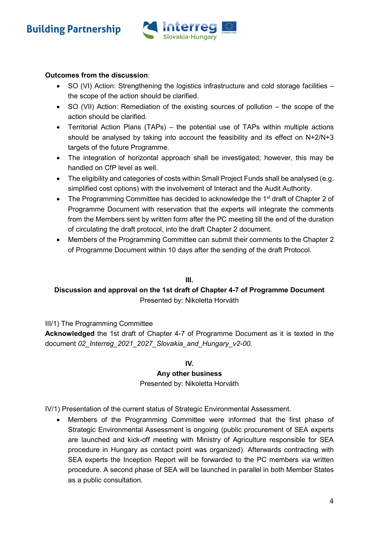

### Outcomes from the discussion:

- SO (VI) Action: Strengthening the logistics infrastructure and cold storage facilities the scope of the action should be clarified.
- SO (VII) Action: Remediation of the existing sources of pollution the scope of the action should be clarified.
- Territorial Action Plans (TAPs) the potential use of TAPs within multiple actions should be analysed by taking into account the feasibility and its effect on  $N+2/N+3$ targets of the future Programme.
- The integration of horizontal approach shall be investigated; however, this may be handled on CfP level as well.
- The eligibility and categories of costs within Small Project Funds shall be analysed (e.g. simplified cost options) with the involvement of Interact and the Audit Authority.
- The Programming Committee has decided to acknowledge the 1<sup>st</sup> draft of Chapter 2 of Programme Document with reservation that the experts will integrate the comments from the Members sent by written form after the PC meeting till the end of the duration of circulating the draft protocol, into the draft Chapter 2 document.
- Members of the Programming Committee can submit their comments to the Chapter 2 of Programme Document within 10 days after the sending of the draft Protocol.

#### III.

## Discussion and approval on the 1st draft of Chapter 4-7 of Programme Document Presented by: Nikoletta Horváth

#### III/1) The Programming Committee

Acknowledged the 1st draft of Chapter 4-7 of Programme Document as it is texted in the document 02\_Interreg\_2021\_2027\_Slovakia\_and\_Hungary\_v2-00.

#### IV.

#### Any other business

#### Presented by: Nikoletta Horváth

IV/1) Presentation of the current status of Strategic Environmental Assessment.

 Members of the Programming Committee were informed that the first phase of Strategic Environmental Assessment is ongoing (public procurement of SEA experts are launched and kick-off meeting with Ministry of Agriculture responsible for SEA procedure in Hungary as contact point was organized). Afterwards contracting with SEA experts the Inception Report will be forwarded to the PC members via written procedure. A second phase of SEA will be launched in parallel in both Member States as a public consultation.